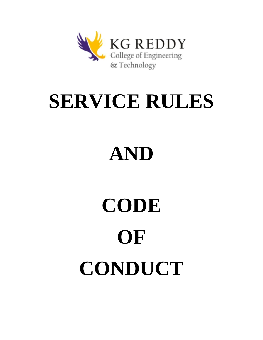

## **SERVICE RULES**

# **AND**

# **CODE OF CONDUCT**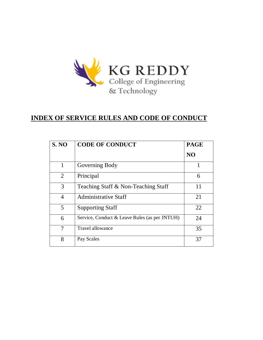

### **INDEX OF SERVICE RULES AND CODE OF CONDUCT**

| <b>S. NO</b>   | <b>CODE OF CONDUCT</b>                        | <b>PAGE</b>    |  |
|----------------|-----------------------------------------------|----------------|--|
|                |                                               | N <sub>O</sub> |  |
| 1              | Governing Body                                | 1              |  |
| 2              | Principal                                     | 6              |  |
| 3              | Teaching Staff & Non-Teaching Staff           | 11             |  |
| 4              | <b>Administrative Staff</b>                   | 21             |  |
| 5              | <b>Supporting Staff</b>                       | 22             |  |
| 6              | Service, Conduct & Leave Rules (as per JNTUH) | 24             |  |
| $\overline{7}$ | Travel allowance                              | 35             |  |
| 8              | Pay Scales                                    | 37             |  |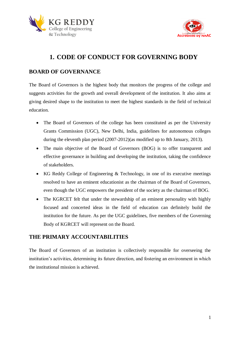



## **1. CODE OF CONDUCT FOR GOVERNING BODY**

#### **BOARD OF GOVERNANCE**

The Board of Governors is the highest body that monitors the progress of the college and suggests activities for the growth and overall development of the institution. It also aims at giving desired shape to the institution to meet the highest standards in the field of technical education.

- The Board of Governors of the college has been constituted as per the University Grants Commission (UGC), New Delhi, India, guidelines for autonomous colleges during the eleventh plan period (2007-2012)(as modified up to 8th January, 2013).
- The main objective of the Board of Governors (BOG) is to offer transparent and effective governance in building and developing the institution, taking the confidence of stakeholders.
- KG Reddy College of Engineering & Technology, in one of its executive meetings resolved to have an eminent educationist as the chairman of the Board of Governors, even though the UGC empowers the president of the society as the chairman of BOG.
- The KGRCET felt that under the stewardship of an eminent personality with highly focused and concerted ideas in the field of education can definitely build the institution for the future. As per the UGC guidelines, five members of the Governing Body of KGRCET will represent on the Board.

#### **THE PRIMARY ACCOUNTABILITIES**

The Board of Governors of an institution is collectively responsible for overseeing the institution's activities, determining its future direction, and fostering an environment in which the institutional mission is achieved.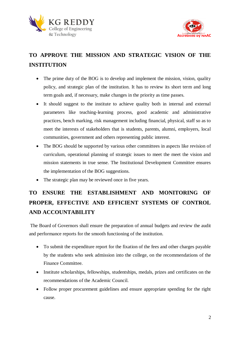



## **TO APPROVE THE MISSION AND STRATEGIC VISION OF THE INSTITUTION**

- The prime duty of the BOG is to develop and implement the mission, vision, quality policy, and strategic plan of the institution. It has to review its short term and long term goals and, if necessary, make changes in the priority as time passes.
- It should suggest to the institute to achieve quality both in internal and external parameters like teaching-learning process, good academic and administrative practices, bench marking, risk management including financial, physical, staff so as to meet the interests of stakeholders that is students, parents, alumni, employers, local communities, government and others representing public interest.
- The BOG should be supported by various other committees in aspects like revision of curriculum, operational planning of strategic issues to meet the meet the vision and mission statements in true sense. The Institutional Development Committee ensures the implementation of the BOG suggestions.
- The strategic plan may be reviewed once in five years.

## **TO ENSURE THE ESTABLISHMENT AND MONITORING OF PROPER, EFFECTIVE AND EFFICIENT SYSTEMS OF CONTROL AND ACCOUNTABILITY**

The Board of Governors shall ensure the preparation of annual budgets and review the audit and performance reports for the smooth functioning of the institution.

- To submit the expenditure report for the fixation of the fees and other charges payable by the students who seek admission into the college, on the recommendations of the Finance Committee.
- Institute scholarships, fellowships, studentships, medals, prizes and certificates on the recommendations of the Academic Council.
- Follow proper procurement guidelines and ensure appropriate spending for the right cause.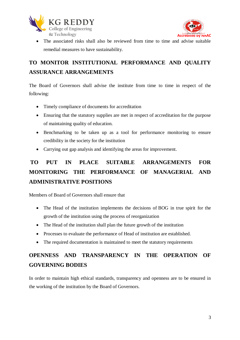



 The associated risks shall also be reviewed from time to time and advise suitable remedial measures to have sustainability.

## **TO MONITOR INSTITUTIONAL PERFORMANCE AND QUALITY ASSURANCE ARRANGEMENTS**

The Board of Governors shall advise the institute from time to time in respect of the following:

- Timely compliance of documents for accreditation
- Ensuring that the statutory supplies are met in respect of accreditation for the purpose of maintaining quality of education.
- Benchmarking to be taken up as a tool for performance monitoring to ensure credibility in the society for the institution
- Carrying out gap analysis and identifying the areas for improvement.

## **TO PUT IN PLACE SUITABLE ARRANGEMENTS FOR MONITORING THE PERFORMANCE OF MANAGERIAL AND ADMINISTRATIVE POSITIONS**

Members of Board of Governors shall ensure that

- The Head of the institution implements the decisions of BOG in true spirit for the growth of the institution using the process of reorganization
- The Head of the institution shall plan the future growth of the institution
- Processes to evaluate the performance of Head of institution are established.
- The required documentation is maintained to meet the statutory requirements

## **OPENNESS AND TRANSPARENCY IN THE OPERATION OF GOVERNING BODIES**

In order to maintain high ethical standards, transparency and openness are to be ensured in the working of the institution by the Board of Governors.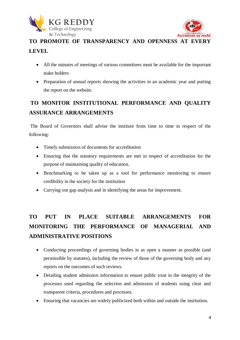



## **TO PROMOTE OF TRANSPARENCY AND OPENNESS AT EVERY LEVEL**

- All the minutes of meetings of various committees must be available for the important stake holders
- Preparation of annual reports showing the activities in an academic year and putting the report on the website.

## **TO MONITOR INSTITUTIONAL PERFORMANCE AND QUALITY ASSURANCE ARRANGEMENTS**

The Board of Governors shall advise the institute from time to time in respect of the following:

- Timely submission of documents for accreditation
- Ensuring that the statutory requirements are met in respect of accreditation for the purpose of maintaining quality of education.
- Benchmarking to be taken up as a tool for performance monitoring to ensure credibility in the society for the institution
- Carrying out gap analysis and in identifying the areas for improvement.

## **TO PUT IN PLACE SUITABLE ARRANGEMENTS FOR MONITORING THE PERFORMANCE OF MANAGERIAL AND ADMINISTRATIVE POSITIONS**

- Conducting proceedings of governing bodies in as open a manner as possible (and permissible by statutes), including the review of those of the governing body and any reports on the outcomes of such reviews.
- Detailing student admission information to ensure public trust in the integrity of the processes used regarding the selection and admission of students using clear and transparent criteria, procedures and processes.
- Ensuring that vacancies are widely publicized both within and outside the institution.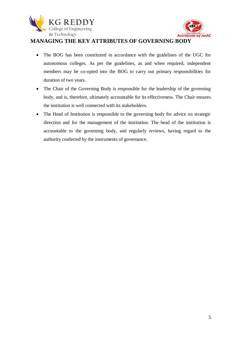



#### **MANAGING THE KEY ATTRIBUTES OF GOVERNING BODY**

- The BOG has been constituted in accordance with the guidelines of the UGC for autonomous colleges. As per the guidelines, as and when required, independent members may be co-opted into the BOG to carry out primary responsibilities for duration of two years.
- The Chair of the Governing Body is responsible for the leadership of the governing body, and is, therefore, ultimately accountable for its effectiveness. The Chair ensures the institution is well connected with its stakeholders.
- The Head of Institution is responsible to the governing body for advice on strategic direction and for the management of the institution. The head of the institution is accountable to the governing body, and regularly reviews, having regard to the authority conferred by the instruments of governance.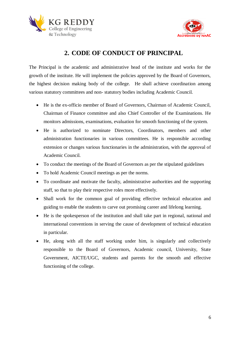



## **2. CODE OF CONDUCT OF PRINCIPAL**

The Principal is the academic and administrative head of the institute and works for the growth of the institute. He will implement the policies approved by the Board of Governors, the highest decision making body of the college. He shall achieve coordination among various statutory committees and non- statutory bodies including Academic Council.

- He is the ex-officio member of Board of Governors, Chairman of Academic Council, Chairman of Finance committee and also Chief Controller of the Examinations. He monitors admissions, examinations, evaluation for smooth functioning of the system.
- He is authorized to nominate Directors, Coordinators, members and other administration functionaries in various committees. He is responsible according extension or changes various functionaries in the administration, with the approval of Academic Council.
- To conduct the meetings of the Board of Governors as per the stipulated guidelines
- To hold Academic Council meetings as per the norms.
- To coordinate and motivate the faculty, administrative authorities and the supporting staff, so that to play their respective roles more effectively.
- Shall work for the common goal of providing effective technical education and guiding to enable the students to carve out promising career and lifelong learning.
- He is the spokesperson of the institution and shall take part in regional, national and international conventions in serving the cause of development of technical education in particular.
- He, along with all the staff working under him, is singularly and collectively responsible to the Board of Governors, Academic council, University, State Government, AICTE/UGC, students and parents for the smooth and effective functioning of the college.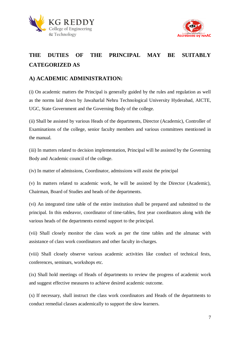



## **THE DUTIES OF THE PRINCIPAL MAY BE SUITABLY CATEGORIZED AS**

#### **A) ACADEMIC ADMINISTRATION:**

(i) On academic matters the Principal is generally guided by the rules and regulation as well as the norms laid down by Jawaharlal Nehru Technological University Hyderabad, AICTE, UGC, State Government and the Governing Body of the college.

(ii) Shall be assisted by various Heads of the departments, Director (Academic), Controller of Examinations of the college, senior faculty members and various committees mentioned in the manual.

(iii) In matters related to decision implementation, Principal will he assisted by the Governing Body and Academic council of the college.

(iv) In matter of admissions, Coordinator, admissions will assist the principal

(v) In matters related to academic work, he will be assisted by the Director (Academic), Chairman, Board of Studies and heads of the departments.

(vi) An integrated time table of the entire institution shall be prepared and submitted to the principal. In this endeavor, coordinator of time-tables, first year coordinators along with the various heads of the departments extend support to the principal.

(vii) Shall closely monitor the class work as per the time tables and the almanac with assistance of class work coordinators and other faculty in-charges.

(viii) Shall closely observe various academic activities like conduct of technical fests, conferences, seminars, workshops etc.

(ix) Shall hold meetings of Heads of departments to review the progress of academic work and suggest effective measures to achieve desired academic outcome.

(x) If necessary, shall instruct the class work coordinators and Heads of the departments to conduct remedial classes academically to support the slow learners.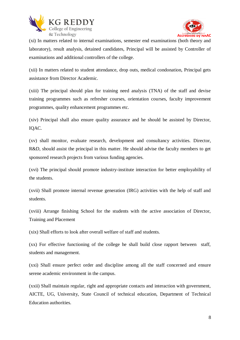



(xi) In matters related to internal examinations, semester end examinations (both theory and laboratory), result analysis, detained candidates, Principal will be assisted by Controller of examinations and additional controllers of the college.

(xii) In matters related to student attendance, drop outs, medical condonation, Principal gets assistance from Director Academic.

(xiii) The principal should plan for training need analysis (TNA) of the staff and devise training programmes such as refresher courses, orientation courses, faculty improvement programmes, quality enhancement programmes etc.

(xiv) Principal shall also ensure quality assurance and he should be assisted by Director, IQAC.

(xv) shall monitor, evaluate research, development and consultancy activities. Director, R&D, should assist the principal in this matter. He should advise the faculty members to get sponsored research projects from various funding agencies.

(xvi) The principal should promote industry-institute interaction for better employability of the students.

(xvii) Shall promote internal revenue generation (IRG) activities with the help of staff and students.

(xviii) Arrange finishing School for the students with the active association of Director, Training and Placement

(xix) Shall efforts to look after overall welfare of staff and students.

(xx) For effective functioning of the college he shall build close rapport between staff, students and management.

(xxi) Shall ensure perfect order and discipline among all the staff concerned and ensure serene academic environment in the campus.

(xxii) Shall maintain regular, right and appropriate contacts and interaction with government, AICTE, UG, University, State Council of technical education, Department of Technical Education authorities.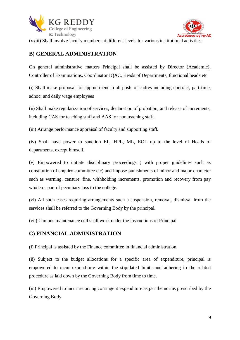



(xxiii) Shall involve faculty members at different levels for various institutional activities.

#### **B) GENERAL ADMINISTRATION**

On general administrative matters Principal shall be assisted by Director (Academic), Controller of Examinations, Coordinator IQAC, Heads of Departments, functional heads etc

(i) Shall make proposal for appointment to all posts of cadres including contract, part-time, adhoc, and daily wage employees

(ii) Shall make regularization of services, declaration of probation, and release of increments, including CAS for teaching staff and AAS for non teaching staff.

(iii) Arrange performance appraisal of faculty and supporting staff.

(iv) Shall have power to sanction EL, HPL, ML, EOL up to the level of Heads of departments, except himself.

(v) Empowered to initiate disciplinary proceedings ( with proper guidelines such as constitution of enquiry committee etc) and impose punishments of minor and major character such as warning, censure, fine, withholding increments, promotion and recovery from pay whole or part of pecuniary loss to the college.

(vi) All such cases requiring arrangements such a suspension, removal, dismissal from the services shall be referred to the Governing Body by the principal.

(vii) Campus maintenance cell shall work under the instructions of Principal

#### **C) FINANCIAL ADMINISTRATION**

(i) Principal is assisted by the Finance committee in financial administration.

(ii) Subject to the budget allocations for a specific area of expenditure, principal is empowered to incur expenditure within the stipulated limits and adhering to the related procedure as laid down by the Governing Body from time to time.

(iii) Empowered to incur recurring contingent expenditure as per the norms prescribed by the Governing Body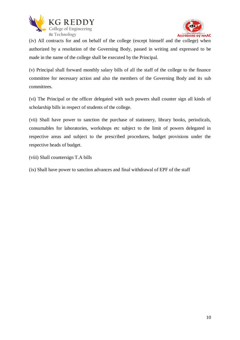



(iv) All contracts for and on behalf of the college (except himself and the college) when authorized by a resolution of the Governing Body, passed in writing and expressed to be made in the name of the college shall be executed by the Principal.

(v) Principal shall forward monthly salary bills of all the staff of the college to the finance committee for necessary action and also the members of the Governing Body and its sub committees.

(vi) The Principal or the officer delegated with such powers shall counter sign all kinds of scholarship bills in respect of students of the college.

(vii) Shall have power to sanction the purchase of stationery, library books, periodicals, consumables for laboratories, workshops etc subject to the limit of powers delegated in respective areas and subject to the prescribed procedures, budget provisions under the respective heads of budget.

(viii) Shall countersign T.A bills

(ix) Shall have power to sanction advances and final withdrawal of EPF of the staff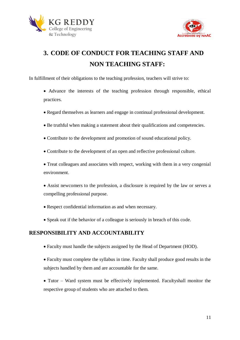



## **3. CODE OF CONDUCT FOR TEACHING STAFF AND NON TEACHING STAFF:**

In fulfillment of their obligations to the teaching profession, teachers will strive to:

- Advance the interests of the teaching profession through responsible, ethical practices.
- Regard themselves as learners and engage in continual professional development.
- Be truthful when making a statement about their qualifications and competencies.
- Contribute to the development and promotion of sound educational policy.
- Contribute to the development of an open and reflective professional culture.
- Treat colleagues and associates with respect, working with them in a very congenial environment.
- Assist newcomers to the profession, a disclosure is required by the law or serves a compelling professional purpose.
- Respect confidential information as and when necessary.
- Speak out if the behavior of a colleague is seriously in breach of this code.

#### **RESPONSIBILITY AND ACCOUNTABILITY**

- Faculty must handle the subjects assigned by the Head of Department (HOD).
- Faculty must complete the syllabus in time. Faculty shall produce good results in the subjects handled by them and are accountable for the same.
- Tutor Ward system must be effectively implemented. Facultyshall monitor the respective group of students who are attached to them.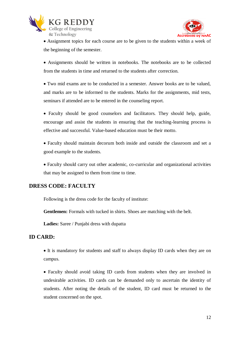



 Assignment topics for each course are to be given to the students within a week of the beginning of the semester.

 Assignments should be written in notebooks. The notebooks are to be collected from the students in time and returned to the students after correction.

 Two mid exams are to be conducted in a semester. Answer books are to be valued, and marks are to be informed to the students. Marks for the assignments, mid tests, seminars if attended are to be entered in the counseling report.

 Faculty should be good counselors and facilitators. They should help, guide, encourage and assist the students in ensuring that the teaching-learning process is effective and successful. Value-based education must be their motto.

 Faculty should maintain decorum both inside and outside the classroom and set a good example to the students.

 Faculty should carry out other academic, co-curricular and organizational activities that may be assigned to them from time to time.

#### **DRESS CODE: FACULTY**

Following is the dress code for the faculty of institute:

**Gentlemen:** Formals with tucked in shirts. Shoes are matching with the belt.

**Ladies:** Saree / Punjabi dress with dupatta

#### **ID CARD:**

 It is mandatory for students and staff to always display ID cards when they are on campus.

 Faculty should avoid taking ID cards from students when they are involved in undesirable activities. ID cards can be demanded only to ascertain the identity of students. After noting the details of the student, ID card must be returned to the student concerned on the spot.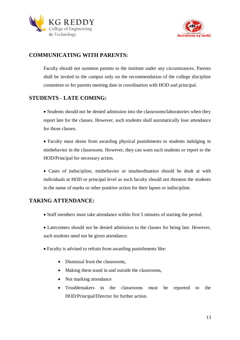



#### **COMMUNICATING WITH PARENTS:**

Faculty should not summon parents to the institute under any circumstances. Parents shall be invited to the campus only on the recommendation of the college discipline committee or for parents meeting date in coordination with HOD and principal.

#### **STUDENTS - LATE COMING:**

• Students should not be denied admission into the classrooms/laboratories when they report late for the classes. However, such students shall automatically lose attendance for those classes.

 Faculty must desist from awarding physical punishments to students indulging in misbehavior in the classrooms. However, they can warn such students or report to the HOD/Principal for necessary action.

 Cases of indiscipline, misbehavior or insubordination should be dealt at with individuals at HOD or principal level as such faculty should not threaten the students in the name of marks or other punitive action for their lapses or indiscipline.

#### **TAKING ATTENDANCE:**

Staff members must take attendance within first 5 minutes of starting the period.

 Latecomers should not be denied admission to the classes for being late. However, such students need not be given attendance.

- Faculty is advised to refrain from awarding punishments like:
	- Dismissal from the classrooms.
	- Making them stand in and outside the classrooms,
	- Not marking attendance
	- Troublemakers in the classrooms must be reported to the HOD/Principal/Director for further action.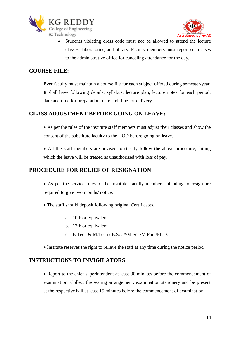



 Students violating dress code must not be allowed to attend the lecture classes, laboratories, and library. Faculty members must report such cases to the administrative office for canceling attendance for the day.

#### **COURSE FILE:**

Ever faculty must maintain a course file for each subject offered during semester/year. It shall have following details: syllabus, lecture plan, lecture notes for each period, date and time for preparation, date and time for delivery.

#### **CLASS ADJUSTMENT BEFORE GOING ON LEAVE:**

 As per the rules of the institute staff members must adjust their classes and show the consent of the substitute faculty to the HOD before going on leave.

• All the staff members are advised to strictly follow the above procedure; failing which the leave will be treated as unauthorized with loss of pay.

#### **PROCEDURE FOR RELIEF OF RESIGNATION:**

 As per the service rules of the Institute, faculty members intending to resign are required to give two months' notice.

- The staff should deposit following original Certificates.
	- a. 10th or equivalent
	- b. 12th or equivalent
	- c. B.Tech & M.Tech / B.Sc. &M.Sc. /M.Phil./Ph.D.
- Institute reserves the right to relieve the staff at any time during the notice period.

#### **INSTRUCTIONS TO INVIGILATORS:**

 Report to the chief superintendent at least 30 minutes before the commencement of examination. Collect the seating arrangement, examination stationery and be present at the respective hall at least 15 minutes before the commencement of examination.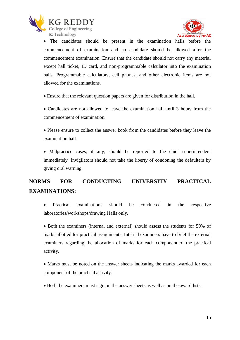



 The candidates should be present in the examination halls before the commencement of examination and no candidate should be allowed after the commencement examination. Ensure that the candidate should not carry any material except hall ticket, ID card, and non-programmable calculator into the examination halls. Programmable calculators, cell phones, and other electronic items are not allowed for the examinations.

Ensure that the relevant question papers are given for distribution in the hall.

 Candidates are not allowed to leave the examination hall until 3 hours from the commencement of examination.

 Please ensure to collect the answer book from the candidates before they leave the examination hall.

• Malpractice cases, if any, should be reported to the chief superintendent immediately. Invigilators should not take the liberty of condoning the defaulters by giving oral warning.

## **NORMS FOR CONDUCTING UNIVERSITY PRACTICAL EXAMINATIONS:**

 Practical examinations should be conducted in the respective laboratories/workshops/drawing Halls only.

• Both the examiners (internal and external) should assess the students for 50% of marks allotted for practical assignments. Internal examiners have to brief the external examiners regarding the allocation of marks for each component of the practical activity.

• Marks must be noted on the answer sheets indicating the marks awarded for each component of the practical activity.

Both the examiners must sign on the answer sheets as well as on the award lists.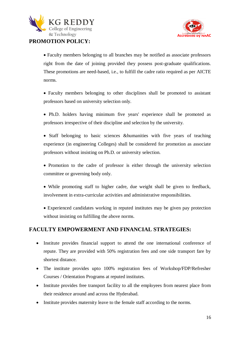

#### **PROMOTION POLICY:**



 Faculty members belonging to all branches may be notified as associate professors right from the date of joining provided they possess post-graduate qualifications. These promotions are need-based, i.e., to fulfill the cadre ratio required as per AICTE norms.

- Faculty members belonging to other disciplines shall be promoted to assistant professors based on university selection only.
- Ph.D. holders having minimum five years' experience shall be promoted as professors irrespective of their discipline and selection by the university.
- Staff belonging to basic sciences &humanities with five years of teaching experience (in engineering Colleges) shall be considered for promotion as associate professors without insisting on Ph.D. or university selection.
- Promotion to the cadre of professor is either through the university selection committee or governing body only.
- While promoting staff to higher cadre, due weight shall be given to feedback, involvement in extra-curricular activities and administrative responsibilities.
- Experienced candidates working in reputed institutes may be given pay protection without insisting on fulfilling the above norms.

#### **FACULTY EMPOWERMENT AND FINANCIAL STRATEGIES:**

- Institute provides financial support to attend the one international conference of repute. They are provided with 50% registration fees and one side transport fare by shortest distance.
- The institute provides upto 100% registration fees of Workshop/FDP/Refresher Courses / Orientation Programs at reputed institutes.
- Institute provides free transport facility to all the employees from nearest place from their residence around and across the Hyderabad.
- Institute provides maternity leave to the female staff according to the norms.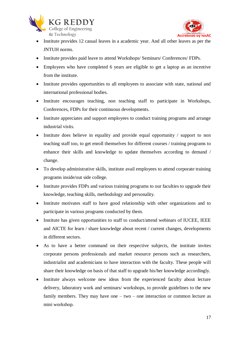



- Institute provides 12 casual leaves in a academic year. And all other leaves as per the JNTUH norms.
- Institute provides paid leave to attend Workshops/ Seminars/ Conferences/ FDPs.
- Employees who have completed 6 years are eligible to get a laptop as an incentive from the institute.
- Institute provides opportunities to all employees to associate with state, national and international professional bodies.
- Institute encourages teaching, non teaching staff to participate in Workshops, Conferences, FDPs for their continuous developments.
- Institute appreciates and support employees to conduct training programs and arrange industrial visits.
- Institute does believe in equality and provide equal opportunity / support to non teaching staff too, to get enroll themselves for different courses / training programs to enhance their skills and knowledge to update themselves according to demand / change.
- To develop administrative skills, institute avail employees to attend corporate training programs inside/out side college.
- Institute provides FDPs and various training programs to our faculties to upgrade their knowledge, teaching skills, methodology and personality.
- Institute motivates staff to have good relationship with other organizations and to participate in various programs conducted by them.
- Institute has given opportunities to staff to conduct/attend webinars of IUCEE, IEEE and AICTE for learn / share knowledge about recent / current changes, developments in different sectors.
- As to have a better command on their respective subjects, the institute invites corporate persons professionals and market resource persons such as researchers, industrialist and academicians to have interaction with the faculty. These people will share their knowledge on basis of that staff to upgrade his/her knowledge accordingly.
- Institute always welcome new ideas from the experienced faculty about lecture delivery, laboratory work and seminars/ workshops, to provide guidelines to the new family members. They may have one  $-$  two  $-$  one interaction or common lecture as mini workshop.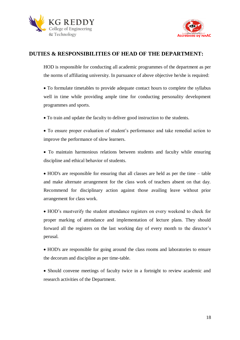



#### **DUTIES & RESPONSIBILITIES OF HEAD OF THE DEPARTMENT:**

HOD is responsible for conducting all academic programmes of the department as per the norms of affiliating university. In pursuance of above objective he/she is required:

 To formulate timetables to provide adequate contact hours to complete the syllabus well in time while providing ample time for conducting personality development programmes and sports.

To train and update the faculty to deliver good instruction to the students.

 To ensure proper evaluation of student's performance and take remedial action to improve the performance of slow learners.

 To maintain harmonious relations between students and faculty while ensuring discipline and ethical behavior of students.

 HOD's are responsible for ensuring that all classes are held as per the time – table and make alternate arrangement for the class work of teachers absent on that day. Recommend for disciplinary action against those availing leave without prior arrangement for class work.

 HOD's mustverify the student attendance registers on every weekend to check for proper marking of attendance and implementation of lecture plans. They should forward all the registers on the last working day of every month to the director's perusal.

 HOD's are responsible for going around the class rooms and laboratories to ensure the decorum and discipline as per time-table.

• Should convene meetings of faculty twice in a fortnight to review academic and research activities of the Department.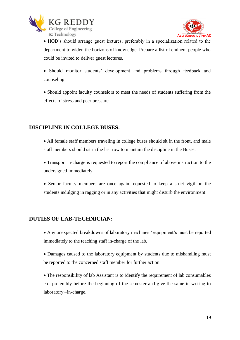



 HOD's should arrange guest lectures, preferably in a specialization related to the department to widen the horizons of knowledge. Prepare a list of eminent people who could be invited to deliver guest lectures.

 Should monitor students' development and problems through feedback and counseling.

 Should appoint faculty counselors to meet the needs of students suffering from the effects of stress and peer pressure.

#### **DISCIPLINE IN COLLEGE BUSES:**

 All female staff members traveling in college buses should sit in the front, and male staff members should sit in the last row to maintain the discipline in the Buses.

 Transport in-charge is requested to report the compliance of above instruction to the undersigned immediately.

 Senior faculty members are once again requested to keep a strict vigil on the students indulging in ragging or in any activities that might disturb the environment.

#### **DUTIES OF LAB-TECHNICIAN:**

- Any unexpected breakdowns of laboratory machines / equipment's must be reported immediately to the teaching staff in-charge of the lab.
- Damages caused to the laboratory equipment by students due to mishandling must be reported to the concerned staff member for further action.
- The responsibility of lab Assistant is to identify the requirement of lab consumables etc. preferably before the beginning of the semester and give the same in writing to laboratory –in-charge.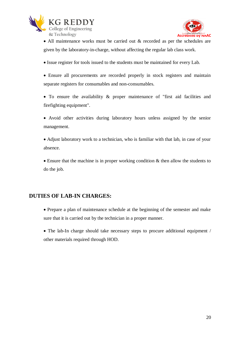



 All maintenance works must be carried out & recorded as per the schedules are given by the laboratory-in-charge, without affecting the regular lab class work.

- Issue register for tools issued to the students must be maintained for every Lab.
- Ensure all procurements are recorded properly in stock registers and maintain separate registers for consumables and non-consumables.
- To ensure the availability & proper maintenance of "first aid facilities and firefighting equipment".
- Avoid other activities during laboratory hours unless assigned by the senior management.
- Adjust laboratory work to a technician, who is familiar with that lab, in case of your absence.
- Ensure that the machine is in proper working condition & then allow the students to do the job.

#### **DUTIES OF LAB-IN CHARGES:**

- Prepare a plan of maintenance schedule at the beginning of the semester and make sure that it is carried out by the technician in a proper manner.
- The lab-In charge should take necessary steps to procure additional equipment / other materials required through HOD.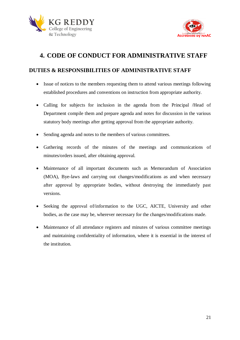



## **4. CODE OF CONDUCT FOR ADMINISTRATIVE STAFF**

#### **DUTIES & RESPONSIBILITIES OF ADMINISTRATIVE STAFF**

- Issue of notices to the members requesting them to attend various meetings following established procedures and conventions on instruction from appropriate authority.
- Calling for subjects for inclusion in the agenda from the Principal /Head of Department compile them and prepare agenda and notes for discussion in the various statutory body meetings after getting approval from the appropriate authority.
- Sending agenda and notes to the members of various committees.
- Gathering records of the minutes of the meetings and communications of minutes/orders issued, after obtaining approval.
- Maintenance of all important documents such as Memorandum of Association (MOA), Bye-laws and carrying out changes/modifications as and when necessary after approval by appropriate bodies, without destroying the immediately past versions.
- Seeking the approval of/information to the UGC, AICTE, University and other bodies, as the case may be, wherever necessary for the changes/modifications made.
- Maintenance of all attendance registers and minutes of various committee meetings and maintaining confidentiality of information, where it is essential in the interest of the institution.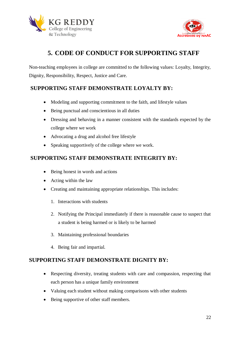



## **5. CODE OF CONDUCT FOR SUPPORTING STAFF**

Non-teaching employees in college are committed to the following values: Loyalty, Integrity, Dignity, Responsibility, Respect, Justice and Care.

#### **SUPPORTING STAFF DEMONSTRATE LOYALTY BY:**

- Modeling and supporting commitment to the faith, and lifestyle values
- Being punctual and conscientious in all duties
- Dressing and behaving in a manner consistent with the standards expected by the college where we work
- Advocating a drug and alcohol free lifestyle
- Speaking supportively of the college where we work.

#### **SUPPORTING STAFF DEMONSTRATE INTEGRITY BY:**

- Being honest in words and actions
- Acting within the law
- Creating and maintaining appropriate relationships. This includes:
	- 1. Interactions with students
	- 2. Notifying the Principal immediately if there is reasonable cause to suspect that a student is being harmed or is likely to be harmed
	- 3. Maintaining professional boundaries
	- 4. Being fair and impartial.

#### **SUPPORTING STAFF DEMONSTRATE DIGNITY BY:**

- Respecting diversity, treating students with care and compassion, respecting that each person has a unique family environment
- Valuing each student without making comparisons with other students
- Being supportive of other staff members.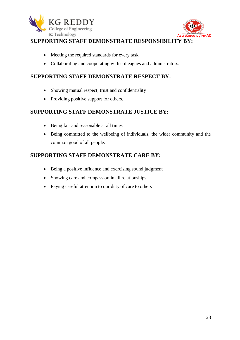



#### **SUPPORTING STAFF DEMONSTRATE RESPONSIBILITY BY:**

- Meeting the required standards for every task
- Collaborating and cooperating with colleagues and administrators.

#### **SUPPORTING STAFF DEMONSTRATE RESPECT BY:**

- Showing mutual respect, trust and confidentiality
- Providing positive support for others.

#### **SUPPORTING STAFF DEMONSTRATE JUSTICE BY:**

- Being fair and reasonable at all times
- Being committed to the wellbeing of individuals, the wider community and the common good of all people.

#### **SUPPORTING STAFF DEMONSTRATE CARE BY:**

- Being a positive influence and exercising sound judgment
- Showing care and compassion in all relationships
- Paying careful attention to our duty of care to others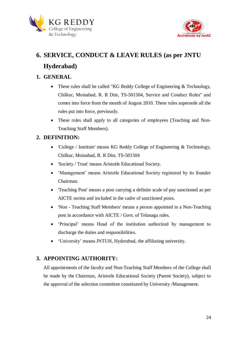



## **6. SERVICE, CONDUCT & LEAVE RULES (as per JNTU Hyderabad)**

#### **1. GENERAL**

- These rules shall be called "KG Reddy College of Engineering & Technology, Chilkur, Moinabad, R. R Dist, TS-501504, Service and Conduct Rules" and comes into force from the month of August 2010. These rules supersede all the rules put into force, previously.
- These rules shall apply to all categories of employees (Teaching and Non-Teaching Staff Members).

#### **2. DEFINITION:**

- 'College / Institute' means KG Reddy College of Engineering & Technology, Chilkur, Moinabad, R. R Dist, TS-501504
- 'Society / Trust' means Aristotle Educational Society.
- 'Management' means Aristotle Educational Society registered by its founder Chairman.
- 'Teaching Post' means a post carrying a definite scale of pay sanctioned as per AICTE norms and included in the cadre of sanctioned posts.
- 'Non Teaching Staff Members' means a person appointed in a Non-Teaching post in accordance with AICTE / Govt. of Telanaga rules.
- 'Principal' means Head of the institution authorized by management to discharge the duties and responsibilities.
- 'University' means JNTUH, Hyderabad, the affiliating university.

#### **3. APPOINTING AUTHORITY:**

All appointments of the faculty and Non-Teaching Staff Members of the College shall be made by the Chairman, Aristotle Educational Society (Parent Society), subject to the approval of the selection committee constituted by University /Management.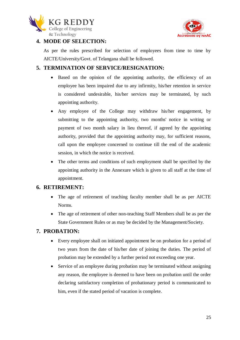



#### **4. MODE OF SELECTION:**

As per the rules prescribed for selection of employees from time to time by AICTE/University/Govt. of Telangana shall be followed.

#### **5. TERMINATION OF SERVICE/RESIGNATION:**

- Based on the opinion of the appointing authority, the efficiency of an employee has been impaired due to any infirmity, his/her retention in service is considered undesirable, his/her services may be terminated, by such appointing authority.
- Any employee of the College may withdraw his/her engagement, by submitting to the appointing authority, two months' notice in writing or payment of two month salary in lieu thereof, if agreed by the appointing authority, provided that the appointing authority may, for sufficient reasons, call upon the employee concerned to continue till the end of the academic session, in which the notice is received.
- The other terms and conditions of such employment shall be specified by the appointing authority in the Annexure which is given to all staff at the time of appointment.

#### **6. RETIREMENT:**

- The age of retirement of teaching faculty member shall be as per AICTE Norms.
- The age of retirement of other non-teaching Staff Members shall be as per the State Government Rules or as may be decided by the Management/Society.

#### **7. PROBATION:**

- Every employee shall on initiated appointment be on probation for a period of two years from the date of his/her date of joining the duties. The period of probation may be extended by a further period not exceeding one year.
- Service of an employee during probation may be terminated without assigning any reason, the employee is deemed to have been on probation until the order declaring satisfactory completion of probationary period is communicated to him, even if the stated period of vacation is complete.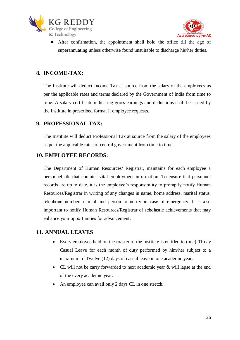



 After confirmation, the appointment shall hold the office till the age of superannuating unless otherwise found unsuitable to discharge his/her duties.

#### **8. INCOME-TAX:**

The Institute will deduct Income Tax at source from the salary of the employees as per the applicable rates and terms declared by the Government of India from time to time. A salary certificate indicating gross earnings and deductions shall be issued by the Institute in prescribed format if employee requests.

#### **9. PROFESSIONAL TAX:**

The Institute will deduct Professional Tax at source from the salary of the employees as per the applicable rates of central government from time to time.

#### **10. EMPLOYEE RECORDS:**

The Department of Human Resources/ Registrar, maintains for each employee a personnel file that contains vital employment information. To ensure that personnel records are up to date, it is the employee's responsibility to promptly notify Human Resources/Registrar in writing of any changes in name, home address, marital status, telephone number, e mail and person to notify in case of emergency. It is also important to notify Human Resources/Registrar of scholastic achievements that may enhance your opportunities for advancement.

#### **11. ANNUAL LEAVES**

- Every employee held on the roaster of the institute is entitled to (one) 01 day Casual Leave for each month of duty performed by him/her subject to a maximum of Twelve (12) days of casual leave in one academic year.
- CL will not be carry forwarded to next academic year & will lapse at the end of the every academic year.
- An employee can avail only 2 days CL in one stretch.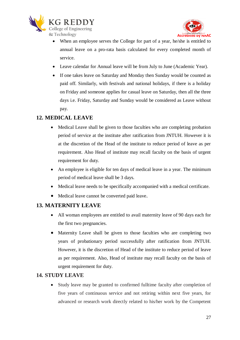



- When an employee serves the College for part of a year, he/she is entitled to annual leave on a pro-rata basis calculated for every completed month of service.
- Leave calendar for Annual leave will be from July to June (Academic Year).
- If one takes leave on Saturday and Monday then Sunday would be counted as paid off. Similarly, with festivals and national holidays, if there is a holiday on Friday and someone applies for casual leave on Saturday, then all the three days i.e. Friday, Saturday and Sunday would be considered as Leave without pay.

#### **12. MEDICAL LEAVE**

- Medical Leave shall be given to those faculties who are completing probation period of service at the institute after ratification from JNTUH. However it is at the discretion of the Head of the institute to reduce period of leave as per requirement. Also Head of institute may recall faculty on the basis of urgent requirement for duty.
- An employee is eligible for ten days of medical leave in a year. The minimum period of medical leave shall be 3 days.
- Medical leave needs to be specifically accompanied with a medical certificate.
- Medical leave cannot be converted paid leave.

#### **13. MATERNITY LEAVE**

- All woman employees are entitled to avail maternity leave of 90 days each for the first two pregnancies.
- Maternity Leave shall be given to those faculties who are completing two years of probationary period successfully after ratification from JNTUH. However, it is the discretion of Head of the institute to reduce period of leave as per requirement. Also, Head of institute may recall faculty on the basis of urgent requirement for duty.

#### **14. STUDY LEAVE**

 Study leave may be granted to confirmed fulltime faculty after completion of five years of continuous service and not retiring within next five years, for advanced or research work directly related to his/her work by the Competent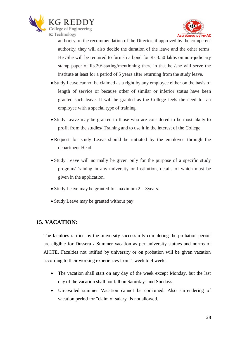



authority on the recommendation of the Director, if approved by the competent authority, they will also decide the duration of the leave and the other terms. He /She will be required to furnish a bond for Rs.3.50 lakhs on non-judiciary stamp paper of Rs.20/-stating/mentioning there in that he /she will serve the institute at least for a period of 5 years after returning from the study leave.

- Study Leave cannot be claimed as a right by any employee either on the basis of length of service or because other of similar or inferior status have been granted such leave. It will be granted as the College feels the need for an employee with a special type of training.
- Study Leave may be granted to those who are considered to be most likely to profit from the studies/ Training and to use it in the interest of the College.
- Request for study Leave should be initiated by the employee through the department Head.
- Study Leave will normally be given only for the purpose of a specific study program/Training in any university or Institution, details of which must be given in the application.
- Study Leave may be granted for maximum  $2 3$  years.
- Study Leave may be granted without pay

#### **15. VACATION:**

The faculties ratified by the university successfully completing the probation period are eligible for Dussera / Summer vacation as per university statues and norms of AICTE. Faculties not ratified by university or on probation will be given vacation according to their working experiences from 1 week to 4 weeks.

- The vacation shall start on any day of the week except Monday, but the last day of the vacation shall not fall on Saturdays and Sundays.
- Un-availed summer Vacation cannot be combined. Also surrendering of vacation period for "claim of salary" is not allowed.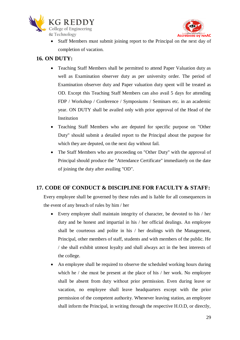



 Staff Members must submit joining report to the Principal on the next day of completion of vacation.

#### **16. ON DUTY:**

- Teaching Staff Members shall be permitted to attend Paper Valuation duty as well as Examination observer duty as per university order. The period of Examination observer duty and Paper valuation duty spent will be treated as OD. Except this Teaching Staff Members can also avail 5 days for attending FDP / Workshop / Conference / Symposiums / Seminars etc. in an academic year. ON DUTY shall be availed only with prior approval of the Head of the **Institution**
- Teaching Staff Members who are deputed for specific purpose on "Other Duty" should submit a detailed report to the Principal about the purpose for which they are deputed, on the next day without fail.
- The Staff Members who are proceeding on "Other Duty" with the approval of Principal should produce the "Attendance Certificate" immediately on the date of joining the duty after availing "OD".

#### **17. CODE OF CONDUCT & DISCIPLINE FOR FACULTY & STAFF:**

Every employee shall be governed by these rules and is liable for all consequences in the event of any breach of rules by him / her

- Every employee shall maintain integrity of character, be devoted to his / her duty and be honest and impartial in his / her official dealings. An employee shall be courteous and polite in his / her dealings with the Management, Principal, other members of staff, students and with members of the public. He / she shall exhibit utmost loyalty and shall always act in the best interests of the college.
- An employee shall be required to observe the scheduled working hours during which he / she must be present at the place of his / her work. No employee shall be absent from duty without prior permission. Even during leave or vacation, no employee shall leave headquarters except with the prior permission of the competent authority. Whenever leaving station, an employee shall inform the Principal, in writing through the respective H.O.D, or directly,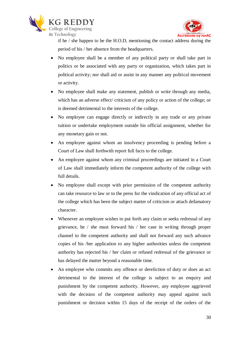



if he / she happen to be the H.O.D, mentioning the contact address during the period of his / her absence from the headquarters.

- No employee shall be a member of any political party or shall take part in politics or be associated with any party or organization, which takes part in political activity; nor shall aid or assist in any manner any political movement or activity.
- No employee shall make any statement, publish or write through any media, which has an adverse effect/ criticism of any policy or action of the college; or is deemed detrimental to the interests of the college.
- No employee can engage directly or indirectly in any trade or any private tuition or undertake employment outside his official assignment, whether for any monetary gain or not.
- An employee against whom an insolvency proceeding is pending before a Court of Law shall forthwith report full facts to the college.
- An employee against whom any criminal proceedings are initiated in a Court of Law shall immediately inform the competent authority of the college with full details.
- No employee shall except with prior permission of the competent authority can take resource to law or to the press for the vindication of any official act of the college which has been the subject matter of criticism or attach defamatory character.
- Whenever an employee wishes to put forth any claim or seeks redressal of any grievance, he / she must forward his / her case in writing through proper channel to the competent authority and shall not forward any such advance copies of his /her application to any higher authorities unless the competent authority has rejected his / her claim or refused redressal of the grievance or has delayed the matter beyond a reasonable time.
- An employee who commits any offence or dereliction of duty or does an act detrimental to the interest of the college is subject to an enquiry and punishment by the competent authority. However, any employee aggrieved with the decision of the competent authority may appeal against such punishment or decision within 15 days of the receipt of the orders of the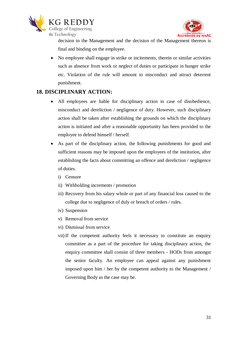



decision to the Management and the decision of the Management thereon is final and binding on the employee.

 No employee shall engage in strike or incitements, therein or similar activities such as absence from work or neglect of duties or participate in hunger strike etc. Violation of the rule will amount to misconduct and attract deterrent punishment.

#### **18. DISCIPLINARY ACTION:**

- All employees are liable for disciplinary action in case of disobedience, misconduct and dereliction / negligence of duty. However, such disciplinary action shall be taken after establishing the grounds on which the disciplinary action is initiated and after a reasonable opportunity has been provided to the employee to defend himself / herself.
- As part of the disciplinary action, the following punishments for good and sufficient reasons may be imposed upon the employees of the institution, after establishing the facts about committing an offence and dereliction / negligence of duties.
	- i) Censure
	- ii) Withholding increments / promotion
	- iii) Recovery from his salary whole or part of any financial loss caused to the college due to negligence of duly or breach of orders / rules.
	- iv) Suspension
	- v) Removal from service
	- vi) Dismissal from service
	- vii)If the competent authority feels it necessary to constitute an enquiry committee as a part of the procedure for taking disciplinary action, the enquiry committee shall consist of three members - HODs from amongst the senior faculty. An employee can appeal against any punishment imposed upon him / her by the competent authority to the Management / Governing Body as the case may be.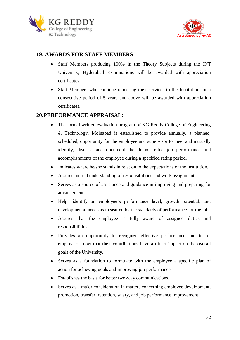



#### **19. AWARDS FOR STAFF MEMBERS:**

- Staff Members producing 100% in the Theory Subjects during the JNT University, Hyderabad Examinations will be awarded with appreciation certificates.
- Staff Members who continue rendering their services to the Institution for a consecutive period of 5 years and above will be awarded with appreciation certificates.

#### **20.PERFORMANCE APPRAISAL:**

- The formal written evaluation program of KG Reddy College of Engineering & Technology, Moinabad is established to provide annually, a planned, scheduled, opportunity for the employee and supervisor to meet and mutually identify, discuss, and document the demonstrated job performance and accomplishments of the employee during a specified rating period.
- Indicates where he/she stands in relation to the expectations of the Institution.
- Assures mutual understanding of responsibilities and work assignments.
- Serves as a source of assistance and guidance in improving and preparing for advancement.
- Helps identify an employee's performance level, growth potential, and developmental needs as measured by the standards of performance for the job.
- Assures that the employee is fully aware of assigned duties and responsibilities.
- Provides an opportunity to recognize effective performance and to let employees know that their contributions have a direct impact on the overall goals of the University.
- Serves as a foundation to formulate with the employee a specific plan of action for achieving goals and improving job performance.
- Establishes the basis for better two-way communications.
- Serves as a major consideration in matters concerning employee development, promotion, transfer, retention, salary, and job performance improvement.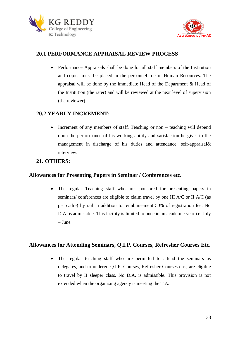



#### **20.1 PERFORMANCE APPRAISAL REVIEW PROCESS**

 Performance Appraisals shall be done for all staff members of the Institution and copies must be placed in the personnel file in Human Resources. The appraisal will be done by the immediate Head of the Department & Head of the Institution (the rater) and will be reviewed at the next level of supervision (the reviewer).

#### **20.2 YEARLY INCREMENT:**

• Increment of any members of staff, Teaching or non – teaching will depend upon the performance of his working ability and satisfaction he gives to the management in discharge of his duties and attendance, self-appraisal& interview.

#### **21. OTHERS:**

#### **Allowances for Presenting Papers in Seminar / Conferences etc.**

• The regular Teaching staff who are sponsored for presenting papers in seminars/ conferences are eligible to claim travel by one III A/C or II A/C (as per cadre) by rail in addition to reimbursement 50% of registration fee. No D.A. is admissible. This facility is limited to once in an academic year i.e. July – June.

#### **Allowances for Attending Seminars, Q.I.P. Courses, Refresher Courses Etc.**

• The regular teaching staff who are permitted to attend the seminars as delegates, and to undergo Q.I.P. Courses, Refresher Courses etc., are eligible to travel by II sleeper class. No D.A. is admissible. This provision is not extended when the organizing agency is meeting the T.A.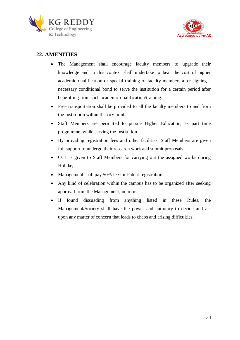



#### **22. AMENITIES**

- The Management shall encourage faculty members to upgrade their knowledge and in this context shall undertake to bear the cost of higher academic qualification or special training of faculty members after signing a necessary conditional bond to serve the institution for a certain period after benefitting from such academic qualification/training.
- Free transportation shall be provided to all the faculty members to and from the Institution within the city limits.
- Staff Members are permitted to pursue Higher Education, as part time programme, while serving the Institution.
- By providing registration fees and other facilities, Staff Members are given full support to undergo their research work and submit proposals.
- CCL is given to Staff Members for carrying out the assigned works during Holidays.
- Management shall pay 50% fee for Patent registration.
- Any kind of celebration within the campus has to be organized after seeking approval from the Management, in prior.
- If found dissuading from anything listed in these Rules, the Management/Society shall have the power and authority to decide and act upon any matter of concern that leads to chaos and arising difficulties.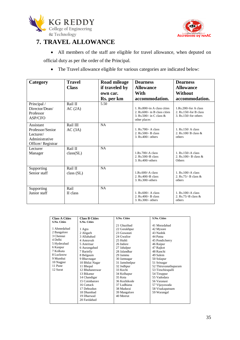



## **7. TRAVEL ALLOWANCE**

 All members of the staff are eligible for travel allowance, when deputed on official duty as per the order of the Principal.

The Travel allowance eligible for various categories are indicated below:

| Category                                                                          | <b>Travel</b>         | Road mileage   | <b>Dearness</b>                                                                                            | <b>Dearness</b>                                                                |
|-----------------------------------------------------------------------------------|-----------------------|----------------|------------------------------------------------------------------------------------------------------------|--------------------------------------------------------------------------------|
|                                                                                   | <b>Class</b>          | if traveled by | <b>Allowance</b>                                                                                           | <b>Allowance</b>                                                               |
|                                                                                   |                       | own car.       | With                                                                                                       | Without                                                                        |
|                                                                                   |                       | Rs. per km     | accommodation.                                                                                             | accommodation.                                                                 |
| Principal /<br>Director/Dean/<br>Professor<br>ASP/CFO                             | Rail II<br>AC(2A)     | 5.50           | 1. Rs.800/-in A class cities<br>2. Rs.600/- in B class cities<br>3. Rs. 500/- in C class &<br>other places | 1.Rs.200/-for A class<br>2. $Rs.150$ /-for B class<br>$3. Rs.150/-$ for others |
| Assistant<br>Professor/Senior<br>Lecturer/<br>Administrative<br>Officer/Registrar | Rail III<br>AC(3A)    | <b>NA</b>      | 1. Rs. 700/- A class<br>2. Rs. 500/- B class<br>$3. Rs.400/- others$                                       | $1.$ Rs. $150/A$ class<br>2. Rs. $100/B$ class $\&$<br>others                  |
| Lecturer<br>Manager                                                               | Rail II<br>class(SL)  | NA             | $1.Rs.700/-A$ class<br>2. Rs. 500/-B class<br>3. Rs.400/-others                                            | 1. Rs. 150/-A class<br>2. Rs. 100/- B class $&$<br>Others                      |
| Supporting<br>Senior staff                                                        | Rail II<br>class (SL) | <b>NA</b>      | $1.Rs.600/-A$ class<br>$2.$ Rs.400/-B class<br>3. Rs.300/-others                                           | $1.$ Rs. $100/-$ A class<br>2. $Rs.75/- B class$ &<br>others                   |
| Supporting<br>Junior staff                                                        | Rail<br>II class      | <b>NA</b>      | 1. $Rs.600/-$ A class<br>2. Rs.400/- B class<br>3. Rs.300/- others                                         | 1. Rs. 100/-A class<br>2. $Rs.75/-B$ class &<br>others                         |

| <b>Class A Cities</b> | <b>Class B Cities</b> | <b>S.No. Cities</b> | <b>S.No. Cities</b>  |
|-----------------------|-----------------------|---------------------|----------------------|
| <b>S.No. Cities</b>   | <b>S.No. Cities</b>   |                     |                      |
|                       |                       | 21 Ghazibad         | 41 Moradabad         |
| 1 Ahmedabad           | 1 Agra                | 22 Gorakhpur        | 42 Mysore            |
| 2 Bangalore           | 2 Aligarh             | 23 Guwatati         | 43 Nashik            |
| 3 Chennai             | 3 Allahabad           | 24 Gwalior          | 44 Patna             |
| 4 Delhi               | 4 Amravah             | 25 Hubli            | 45 Pondicherry       |
| 5 Hyderabad           | 5 Amritsar            | 26 Indore           | 46 Raipur            |
| 6 Kanpur              | 6 Aurangabad          | 27 Jabalpur         | 47 Rajkot            |
| 7 Kolkata             | 7 Barielly            | 28 Jalandhar        | 48 Ranchi            |
| 8 Lucknow             | 8 Belgaum             | 29 Jammu            | 49 Salem             |
| 9 Mumbai              | 9 Bhavnagar           | 30 Jamnagar         | 50 Solapur           |
| 10 Nagpur             | 10 Bhilai Nagar       | 31 Jamshedpur       | 51 Srinagar          |
| 11 Pune               | 11 Bhopal             | 32 Jodhpur          | 52 Thiruvanathapuram |
| 12 Surat              | 12 Bhubaneswar        | 33 Kochi            | 53 Tiruchirapalli    |
|                       | 13 Bikanur            | 34 Kolhapur         | 54 Tiruppur          |
|                       | 14 Chandigar          | 35 Kota             | 55 Vadodara          |
|                       | 15 Coimbatore         | 36 Kozhikode        | 56 Varanasi          |
|                       | 16 Cuttack            | 37 Ludhiana         | 57 Vijayawada        |
|                       | 17 Dehradun           | 38 Madurai          | 58 Visakapatnam      |
|                       | 18 Dhambad            | 39 Mangalore        | 59 Warangal          |
|                       | 19 Dharwad            | 40 Meerut           |                      |
|                       | 20 Faridabad          |                     |                      |
|                       |                       |                     |                      |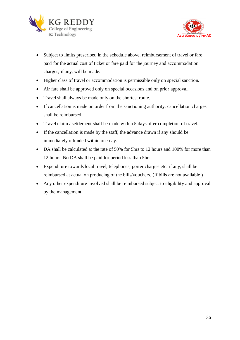



- Subject to limits prescribed in the schedule above, reimbursement of travel or fare paid for the actual cost of ticket or fare paid for the journey and accommodation charges, if any, will be made.
- Higher class of travel or accommodation is permissible only on special sanction.
- Air fare shall be approved only on special occasions and on prior approval.
- Travel shall always be made only on the shortest route.
- If cancellation is made on order from the sanctioning authority, cancellation charges shall be reimbursed.
- Travel claim / settlement shall be made within 5 days after completion of travel.
- If the cancellation is made by the staff, the advance drawn if any should be immediately refunded within one day.
- DA shall be calculated at the rate of 50% for 5hrs to 12 hours and 100% for more than 12 hours. No DA shall be paid for period less than 5hrs.
- Expenditure towards local travel, telephones, porter charges etc. if any, shall be reimbursed at actual on producing of the bills/vouchers. (If bills are not available )
- Any other expenditure involved shall be reimbursed subject to eligibility and approval by the management.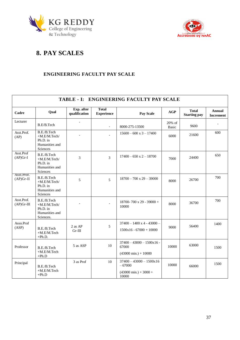



## **8. PAY SCALES**

#### **ENGINEERING FACULTY PAY SCALE**

| TABLE - I: ENGINEERING FACULTY PAY SCALE |                                                                        |                             |                                   |                                                                                          |                 |                                     |                            |
|------------------------------------------|------------------------------------------------------------------------|-----------------------------|-----------------------------------|------------------------------------------------------------------------------------------|-----------------|-------------------------------------|----------------------------|
| Cadre                                    | Qual                                                                   | Exp. after<br>qualification | <b>Total</b><br><b>Experience</b> | Pay Scale                                                                                | AGP             | <b>Total</b><br><b>Starting pay</b> | Annual<br><b>Increment</b> |
| Lecturer                                 | B.E/B.Tech                                                             |                             | $\blacksquare$                    | 8000-275-13500                                                                           | 20% of<br>Basic | 9600                                |                            |
| Asst.Prof.<br>(AP)                       | B.E./B.Tech<br>+M.E/M.Tech/<br>Ph.D. in<br>Humanities and<br>Sciences  |                             |                                   | $15600 - 600 \times 3 - 17400$                                                           | 6000            | 21600                               | 600                        |
| Asst.Prof<br>$(AP)Gr-I$                  | B.E./B.Tech<br>+M.E/M.Tech/<br>Ph.D. in<br>Humanities and<br>Sciences  | 3                           | $\overline{3}$                    | $17400 - 650 \times 2 - 18700$                                                           | 7000            | 24400                               | 650                        |
| Asst.Prof.<br>$(AP)Gr-II$                | B.E./B.Tech<br>+M.E/M.Tech/<br>Ph.D. in<br>Humanities and<br>Sciences  | 5                           | 5                                 | $18700 - 700 \times 29 - 39000$                                                          | 8000            | 26700                               | 700                        |
| Asst.Prof.<br>$(AP)$ Gr-III              | B.E./B.Tech<br>+M.E/M.Tech/<br>Ph.D. in<br>Humanities and<br>Sciences. |                             |                                   | 18700-700 x 29 - 39000 +<br>10000                                                        | 8000            | 36700                               | 700                        |
| Asso.Prof<br>(ASP)                       | B.E./B.Tech<br>+M.E/M.Tech<br>$+Ph.D.$                                 | 2 as AP<br>$Gr-III$         | 5                                 | $37400 - 1400 \times 4 - 43000 -$<br>$1500x16 - 67000 + 10000$                           | 9000            | 56400                               | 1400                       |
| Professor                                | B.E./B.Tech<br>+M.E/M.Tech<br>$+Ph.D$                                  | 5 as ASP                    | 10                                | $37400 - 43000 - 1500 \times 16$<br>67000<br>$(43000 \text{ min.}) + 10000$              | 10000           | 63000                               | 1500                       |
| Principal                                | B.E./B.Tech<br>+M.E/M.Tech<br>$+Ph.D$                                  | 3 as Prof                   | 10                                | $37400 - 43000 - 1500 \times 16$<br>$-67000$<br>$(43000 \text{ min.}) + 3000 +$<br>10000 | 10000           | 66000                               | 1500                       |